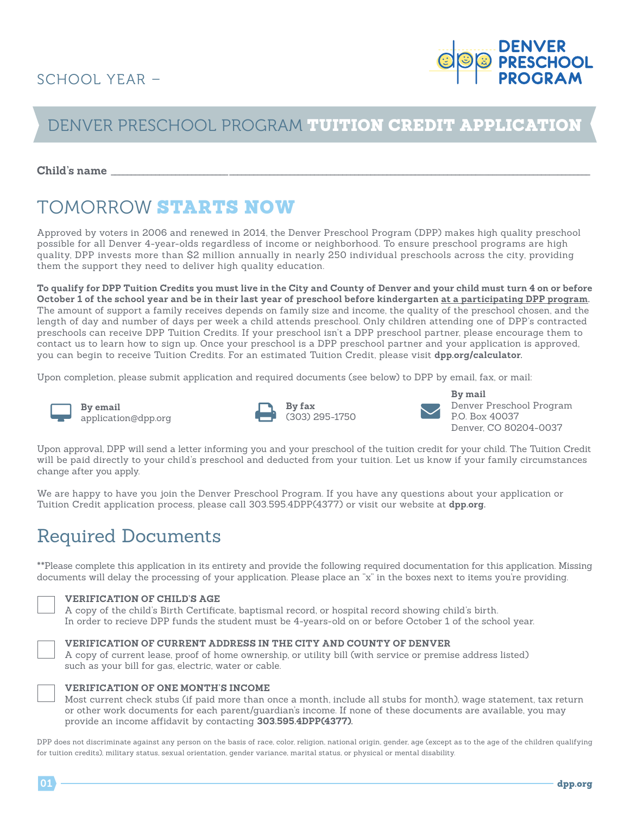

### DENVER PRESCHOOL PROGRAM TUITION CREDIT APPLICATION

**Child's name** \_\_\_\_\_\_\_\_\_\_\_\_\_\_\_\_\_\_\_\_\_\_\_\_\_\_\_\_\_ \_\_\_\_\_\_\_\_\_\_\_\_\_\_\_\_\_\_\_\_\_\_\_\_\_\_\_\_\_\_\_\_\_\_\_\_\_\_\_\_\_\_\_\_\_\_\_\_\_\_\_\_\_\_\_\_\_\_\_\_\_\_\_\_\_\_\_\_\_\_\_\_\_\_\_\_\_\_\_\_\_\_\_\_\_\_\_\_\_

# TOMORROW STARTS NOW

Approved by voters in 2006 and renewed in 2014, the Denver Preschool Program (DPP) makes high quality preschool possible for all Denver 4-year-olds regardless of income or neighborhood. To ensure preschool programs are high quality, DPP invests more than \$2 million annually in nearly 250 individual preschools across the city, providing them the support they need to deliver high quality education.

**To qualify for DPP Tuition Credits you must live in the City and County of Denver and your child must turn 4 on or before October 1 of the school year and be in their last year of preschool before kindergarten at a participating DPP program.** The amount of support a family receives depends on family size and income, the quality of the preschool chosen, and the length of day and number of days per week a child attends preschool. Only children attending one of DPP's contracted preschools can receive DPP Tuition Credits. If your preschool isn't a DPP preschool partner, please encourage them to contact us to learn how to sign up. Once your preschool is a DPP preschool partner and your application is approved, you can begin to receive Tuition Credits. For an estimated Tuition Credit, please visit **dpp.org/calculator.**

Upon completion, please submit application and required documents (see below) to DPP by email, fax, or mail:



**By email**  [application@dpp.org](mailto:application%40dpp.org?subject=)





Denver Preschool Program P.O. Box 40037 Denver, CO 80204-0037

Upon approval, DPP will send a letter informing you and your preschool of the tuition credit for your child. The Tuition Credit will be paid directly to your child's preschool and deducted from your tuition. Let us know if your family circumstances change after you apply.

We are happy to have you join the Denver Preschool Program. If you have any questions about your application or Tuition Credit application process, please call 303.595.4DPP(4377) or visit our website at **dpp.org.**

### Required Documents

\*\*Please complete this application in its entirety and provide the following required documentation for this application. Missing documents will delay the processing of your application. Please place an "x" in the boxes next to items you're providing.



### **VERIFICATION OF CHILD'S AGE**

A copy of the child's Birth Certificate, baptismal record, or hospital record showing child's birth. In order to recieve DPP funds the student must be 4-years-old on or before October 1 of the school year.



#### **VERIFICATION OF CURRENT ADDRESS IN THE CITY AND COUNTY OF DENVER**

A copy of current lease, proof of home ownership, or utility bill (with service or premise address listed) such as your bill for gas, electric, water or cable.



### **VERIFICATION OF ONE MONTH'S INCOME**

Most current check stubs (if paid more than once a month, include all stubs for month), wage statement, tax return or other work documents for each parent/guardian's income. If none of these documents are available, you may provide an income affidavit by contacting **303.595.4DPP(4377).**

DPP does not discriminate against any person on the basis of race, color, religion, national origin, gender, age (except as to the age of the children qualifying for tuition credits), military status, sexual orientation, gender variance, marital status, or physical or mental disability.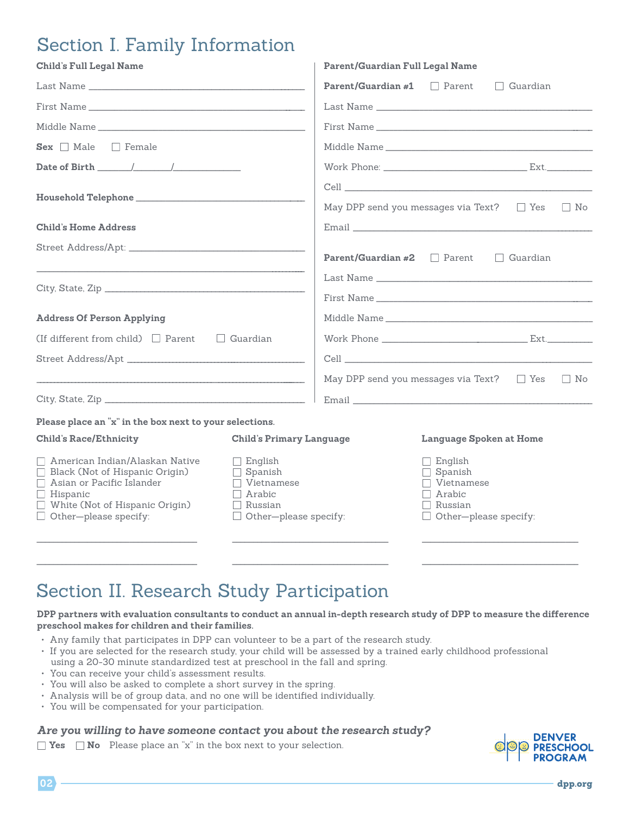## Section I. Family Information

| <b>Child's Full Legal Name</b>                                                                                                                                                                   | <b>Parent/Guardian Full Legal Name</b>                                                                                   |                                                                                                                                                                                                                                |                                                                                                                   |                 |  |
|--------------------------------------------------------------------------------------------------------------------------------------------------------------------------------------------------|--------------------------------------------------------------------------------------------------------------------------|--------------------------------------------------------------------------------------------------------------------------------------------------------------------------------------------------------------------------------|-------------------------------------------------------------------------------------------------------------------|-----------------|--|
|                                                                                                                                                                                                  |                                                                                                                          | <b>Parent/Guardian #1</b> $\Box$ Parent                                                                                                                                                                                        |                                                                                                                   | $\Box$ Guardian |  |
|                                                                                                                                                                                                  |                                                                                                                          |                                                                                                                                                                                                                                |                                                                                                                   |                 |  |
|                                                                                                                                                                                                  |                                                                                                                          |                                                                                                                                                                                                                                |                                                                                                                   |                 |  |
| $Sex$ $\Box$ Male<br>$\Box$ Female                                                                                                                                                               |                                                                                                                          |                                                                                                                                                                                                                                |                                                                                                                   |                 |  |
|                                                                                                                                                                                                  |                                                                                                                          |                                                                                                                                                                                                                                |                                                                                                                   |                 |  |
|                                                                                                                                                                                                  | May DPP send you messages via Text? $\Box$ Yes<br>$\vert$   No                                                           |                                                                                                                                                                                                                                |                                                                                                                   |                 |  |
| <b>Child's Home Address</b>                                                                                                                                                                      |                                                                                                                          |                                                                                                                                                                                                                                |                                                                                                                   |                 |  |
|                                                                                                                                                                                                  |                                                                                                                          | <b>Parent/Guardian #2</b>                                                                                                                                                                                                      | $\Box$ Parent                                                                                                     | $\Box$ Guardian |  |
|                                                                                                                                                                                                  |                                                                                                                          |                                                                                                                                                                                                                                |                                                                                                                   |                 |  |
|                                                                                                                                                                                                  |                                                                                                                          |                                                                                                                                                                                                                                |                                                                                                                   |                 |  |
| <b>Address Of Person Applying</b>                                                                                                                                                                |                                                                                                                          |                                                                                                                                                                                                                                |                                                                                                                   |                 |  |
| (If different from child) $\Box$ Parent<br>$\Box$ Guardian                                                                                                                                       |                                                                                                                          |                                                                                                                                                                                                                                |                                                                                                                   |                 |  |
|                                                                                                                                                                                                  |                                                                                                                          | Cell experience and the contract of the contract of the contract of the contract of the contract of the contract of the contract of the contract of the contract of the contract of the contract of the contract of the contra |                                                                                                                   |                 |  |
|                                                                                                                                                                                                  |                                                                                                                          | May DPP send you messages via Text? $\Box$ Yes<br>$\Box$ No                                                                                                                                                                    |                                                                                                                   |                 |  |
|                                                                                                                                                                                                  |                                                                                                                          | Email <b>Executive Community Community</b>                                                                                                                                                                                     |                                                                                                                   |                 |  |
| Please place an "x" in the box next to your selections.                                                                                                                                          |                                                                                                                          |                                                                                                                                                                                                                                |                                                                                                                   |                 |  |
| <b>Child's Race/Ethnicity</b>                                                                                                                                                                    | <b>Child's Primary Language</b>                                                                                          |                                                                                                                                                                                                                                | <b>Language Spoken at Home</b>                                                                                    |                 |  |
| $\Box$ American Indian/Alaskan Native<br>Black (Not of Hispanic Origin)<br>Asian or Pacific Islander<br>$\Box$ Hispanic<br>$\Box$ White (Not of Hispanic Origin)<br>$\Box$ Other-please specify: | $\Box$ English<br>$\Box$ Spanish<br>$\Box$ Vietnamese<br>$\Box$ Arabic<br>$\Box$ Russian<br>$\Box$ Other-please specify: |                                                                                                                                                                                                                                | $\Box$ English<br>$\Box$ Spanish<br>$\Box$ Vietnamese<br>Arabic<br>$\Box$ Russian<br>$\Box$ Other-please specify: |                 |  |
|                                                                                                                                                                                                  |                                                                                                                          |                                                                                                                                                                                                                                |                                                                                                                   |                 |  |

# Section II. Research Study Participation

### **DPP partners with evaluation consultants to conduct an annual in-depth research study of DPP to measure the difference preschool makes for children and their families.**

- Any family that participates in DPP can volunteer to be a part of the research study.
- If you are selected for the research study, your child will be assessed by a trained early childhood professional using a 20-30 minute standardized test at preschool in the fall and spring.
- You can receive your child's assessment results.
- You will also be asked to complete a short survey in the spring.
- Analysis will be of group data, and no one will be identified individually.
- You will be compensated for your participation.

### *Are you willing to have someone contact you about the research study?*

 $\Box$  **Yes**  $\Box$  **No** Please place an "x" in the box next to your selection.

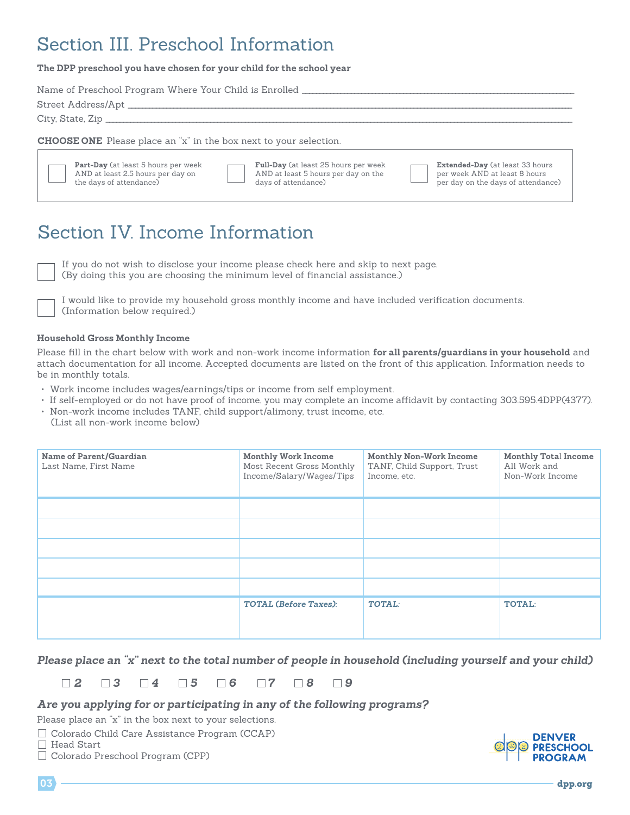# Section III. Preschool Information

**The DPP preschool you have chosen for your child for the school year**

Name of Preschool Program Where Your Child is Enrolled \_ Street Address/Apt City, State, Zip **Part-Day** (at least 5 hours per week **Full-Day** (at least 25 hours per week **Extended-Day** (at least 33 hours **CHOOSE ONE** Please place an "x" in the box next to your selection.

AND at least 5 hours per day on the

# Section IV. Income Information

AND at least 2.5 hours per day on

the days of attendance)

If you do not wish to disclose your income please check here and skip to next page. (By doing this you are choosing the minimum level of financial assistance.)

I would like to provide my household gross monthly income and have included verification documents. (Information below required.)

days of attendance)

### **Household Gross Monthly Income**

Please fill in the chart below with work and non-work income information **for all parents/guardians in your household** and attach documentation for all income. Accepted documents are listed on the front of this application. Information needs to be in monthly totals.

- Work income includes wages/earnings/tips or income from self employment.
- If self-employed or do not have proof of income, you may complete an income affidavit by contacting 303.595.4DPP(4377).
- Non-work income includes TANF, child support/alimony, trust income, etc. (List all non-work income below)

| Name of Parent/Guardian<br>Last Name, First Name | <b>Monthly Work Income</b><br>Most Recent Gross Monthly<br>Income/Salary/Wages/Tips | <b>Monthly Non-Work Income</b><br>TANF, Child Support, Trust<br>Income, etc. | <b>Monthly Total Income</b><br>All Work and<br>Non-Work Income |
|--------------------------------------------------|-------------------------------------------------------------------------------------|------------------------------------------------------------------------------|----------------------------------------------------------------|
|                                                  |                                                                                     |                                                                              |                                                                |
|                                                  |                                                                                     |                                                                              |                                                                |
|                                                  |                                                                                     |                                                                              |                                                                |
|                                                  |                                                                                     |                                                                              |                                                                |
|                                                  |                                                                                     |                                                                              |                                                                |
|                                                  | <b>TOTAL (Before Taxes):</b>                                                        | <b>TOTAL:</b>                                                                | <b>TOTAL:</b>                                                  |
|                                                  |                                                                                     |                                                                              |                                                                |

*Please place an "x" next to the total number of people in household (including yourself and your child)* 

*2 3 4 5 6 7 8 9*

### *Are you applying for or participating in any of the following programs?*

Please place an "x" in the box next to your selections.

□ Colorado Child Care Assistance Program (CCAP)

□ Head Start

Colorado Preschool Program (CPP)



per week AND at least 8 hours per day on the days of attendance)